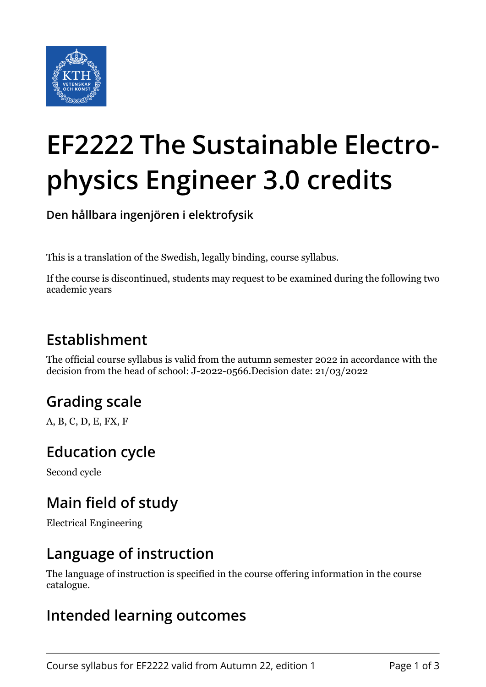

# **EF2222 The Sustainable Electrophysics Engineer 3.0 credits**

**Den hållbara ingenjören i elektrofysik**

This is a translation of the Swedish, legally binding, course syllabus.

If the course is discontinued, students may request to be examined during the following two academic years

## **Establishment**

The official course syllabus is valid from the autumn semester 2022 in accordance with the decision from the head of school: J-2022-0566.Decision date: 21/03/2022

# **Grading scale**

A, B, C, D, E, FX, F

## **Education cycle**

Second cycle

## **Main field of study**

Electrical Engineering

#### **Language of instruction**

The language of instruction is specified in the course offering information in the course catalogue.

#### **Intended learning outcomes**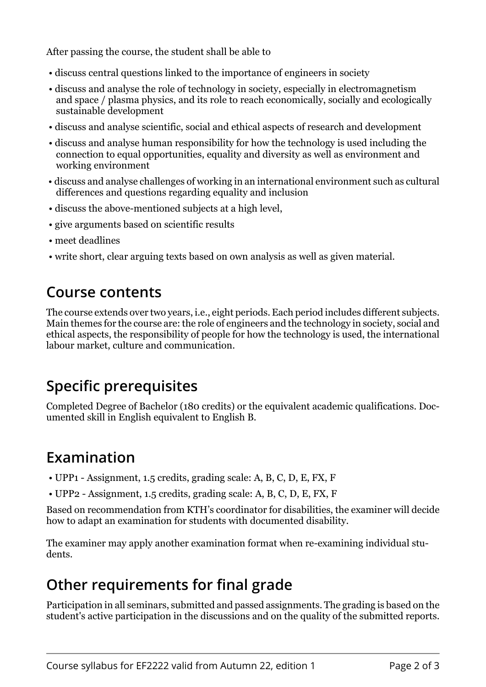After passing the course, the student shall be able to

- discuss central questions linked to the importance of engineers in society
- discuss and analyse the role of technology in society, especially in electromagnetism and space / plasma physics, and its role to reach economically, socially and ecologically sustainable development
- discuss and analyse scientific, social and ethical aspects of research and development
- discuss and analyse human responsibility for how the technology is used including the connection to equal opportunities, equality and diversity as well as environment and working environment
- discuss and analyse challenges of working in an international environment such as cultural differences and questions regarding equality and inclusion
- discuss the above-mentioned subjects at a high level,
- give arguments based on scientific results
- meet deadlines
- write short, clear arguing texts based on own analysis as well as given material.

#### **Course contents**

The course extends over two years, i.e., eight periods. Each period includes different subjects. Main themes for the course are: the role of engineers and the technology in society, social and ethical aspects, the responsibility of people for how the technology is used, the international labour market, culture and communication.

# **Specific prerequisites**

Completed Degree of Bachelor (180 credits) or the equivalent academic qualifications. Documented skill in English equivalent to English B.

## **Examination**

- UPP1 Assignment, 1.5 credits, grading scale: A, B, C, D, E, FX, F
- UPP2 Assignment, 1.5 credits, grading scale: A, B, C, D, E, FX, F

Based on recommendation from KTH's coordinator for disabilities, the examiner will decide how to adapt an examination for students with documented disability.

The examiner may apply another examination format when re-examining individual students.

## **Other requirements for final grade**

Participation in all seminars, submitted and passed assignments. The grading is based on the student's active participation in the discussions and on the quality of the submitted reports.